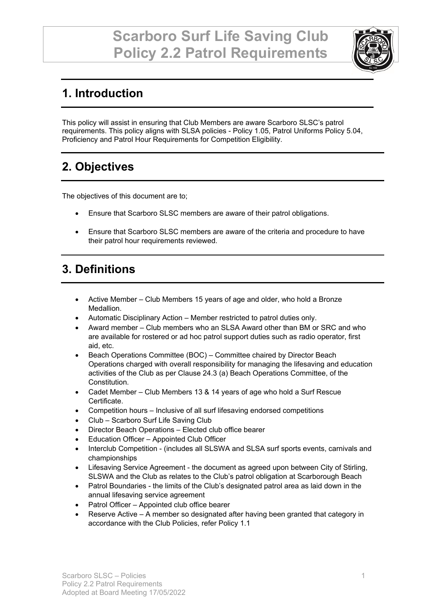

# **1. Introduction**

This policy will assist in ensuring that Club Members are aware Scarboro SLSC's patrol requirements. This policy aligns with SLSA policies - Policy 1.05, Patrol Uniforms Policy 5.04, Proficiency and Patrol Hour Requirements for Competition Eligibility.

# **2. Objectives**

The objectives of this document are to;

- Ensure that Scarboro SLSC members are aware of their patrol obligations.
- Ensure that Scarboro SLSC members are aware of the criteria and procedure to have their patrol hour requirements reviewed.

# **3. Definitions**

- Active Member Club Members 15 years of age and older, who hold a Bronze Medallion.
- Automatic Disciplinary Action Member restricted to patrol duties only.
- Award member Club members who an SLSA Award other than BM or SRC and who are available for rostered or ad hoc patrol support duties such as radio operator, first aid, etc.
- Beach Operations Committee (BOC) Committee chaired by Director Beach Operations charged with overall responsibility for managing the lifesaving and education activities of the Club as per Clause 24.3 (a) Beach Operations Committee, of the Constitution.
- Cadet Member Club Members 13 & 14 years of age who hold a Surf Rescue Certificate.
- Competition hours Inclusive of all surf lifesaving endorsed competitions
- Club Scarboro Surf Life Saving Club
- Director Beach Operations Elected club office bearer
- Education Officer Appointed Club Officer
- Interclub Competition (includes all SLSWA and SLSA surf sports events, carnivals and championships
- Lifesaving Service Agreement the document as agreed upon between City of Stirling, SLSWA and the Club as relates to the Club's patrol obligation at Scarborough Beach
- Patrol Boundaries the limits of the Club's designated patrol area as laid down in the annual lifesaving service agreement
- Patrol Officer Appointed club office bearer
- Reserve Active A member so designated after having been granted that category in accordance with the Club Policies, refer Policy 1.1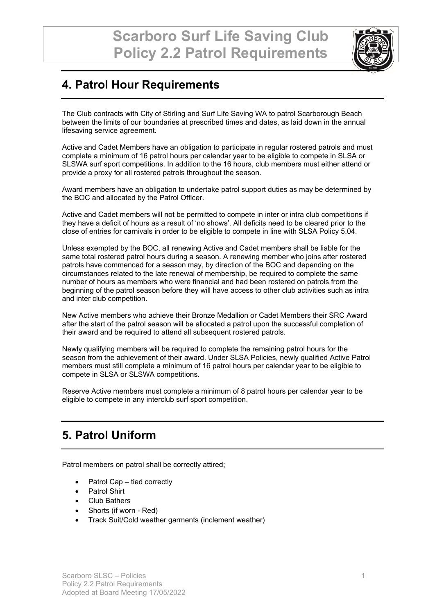

## **4. Patrol Hour Requirements**

The Club contracts with City of Stirling and Surf Life Saving WA to patrol Scarborough Beach between the limits of our boundaries at prescribed times and dates, as laid down in the annual lifesaving service agreement.

Active and Cadet Members have an obligation to participate in regular rostered patrols and must complete a minimum of 16 patrol hours per calendar year to be eligible to compete in SLSA or SLSWA surf sport competitions. In addition to the 16 hours, club members must either attend or provide a proxy for all rostered patrols throughout the season.

Award members have an obligation to undertake patrol support duties as may be determined by the BOC and allocated by the Patrol Officer.

Active and Cadet members will not be permitted to compete in inter or intra club competitions if they have a deficit of hours as a result of 'no shows'. All deficits need to be cleared prior to the close of entries for carnivals in order to be eligible to compete in line with SLSA Policy 5.04.

Unless exempted by the BOC, all renewing Active and Cadet members shall be liable for the same total rostered patrol hours during a season. A renewing member who joins after rostered patrols have commenced for a season may, by direction of the BOC and depending on the circumstances related to the late renewal of membership, be required to complete the same number of hours as members who were financial and had been rostered on patrols from the beginning of the patrol season before they will have access to other club activities such as intra and inter club competition.

New Active members who achieve their Bronze Medallion or Cadet Members their SRC Award after the start of the patrol season will be allocated a patrol upon the successful completion of their award and be required to attend all subsequent rostered patrols.

Newly qualifying members will be required to complete the remaining patrol hours for the season from the achievement of their award. Under SLSA Policies, newly qualified Active Patrol members must still complete a minimum of 16 patrol hours per calendar year to be eligible to compete in SLSA or SLSWA competitions.

Reserve Active members must complete a minimum of 8 patrol hours per calendar year to be eligible to compete in any interclub surf sport competition.

## **5. Patrol Uniform**

Patrol members on patrol shall be correctly attired;

- Patrol Cap tied correctly
- **Patrol Shirt**
- Club Bathers
- Shorts (if worn Red)
- Track Suit/Cold weather garments (inclement weather)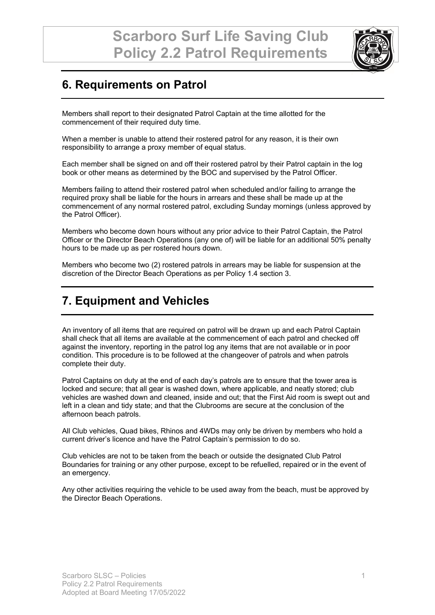

## **6. Requirements on Patrol**

Members shall report to their designated Patrol Captain at the time allotted for the commencement of their required duty time.

When a member is unable to attend their rostered patrol for any reason, it is their own responsibility to arrange a proxy member of equal status.

Each member shall be signed on and off their rostered patrol by their Patrol captain in the log book or other means as determined by the BOC and supervised by the Patrol Officer.

Members failing to attend their rostered patrol when scheduled and/or failing to arrange the required proxy shall be liable for the hours in arrears and these shall be made up at the commencement of any normal rostered patrol, excluding Sunday mornings (unless approved by the Patrol Officer).

Members who become down hours without any prior advice to their Patrol Captain, the Patrol Officer or the Director Beach Operations (any one of) will be liable for an additional 50% penalty hours to be made up as per rostered hours down.

Members who become two (2) rostered patrols in arrears may be liable for suspension at the discretion of the Director Beach Operations as per Policy 1.4 section 3.

#### **7. Equipment and Vehicles**

An inventory of all items that are required on patrol will be drawn up and each Patrol Captain shall check that all items are available at the commencement of each patrol and checked off against the inventory, reporting in the patrol log any items that are not available or in poor condition. This procedure is to be followed at the changeover of patrols and when patrols complete their duty.

Patrol Captains on duty at the end of each day's patrols are to ensure that the tower area is locked and secure; that all gear is washed down, where applicable, and neatly stored; club vehicles are washed down and cleaned, inside and out; that the First Aid room is swept out and left in a clean and tidy state; and that the Clubrooms are secure at the conclusion of the afternoon beach patrols.

All Club vehicles, Quad bikes, Rhinos and 4WDs may only be driven by members who hold a current driver's licence and have the Patrol Captain's permission to do so.

Club vehicles are not to be taken from the beach or outside the designated Club Patrol Boundaries for training or any other purpose, except to be refuelled, repaired or in the event of an emergency.

Any other activities requiring the vehicle to be used away from the beach, must be approved by the Director Beach Operations.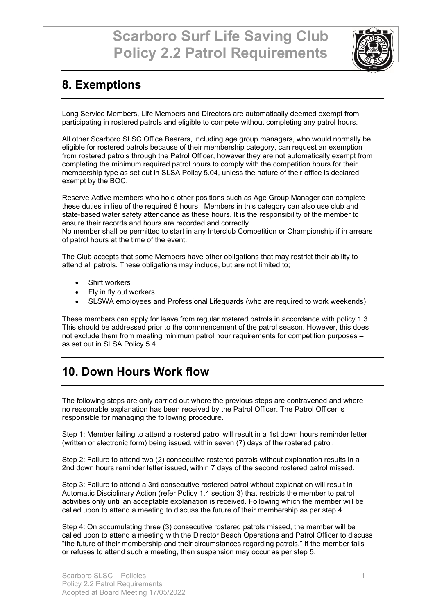

## **8. Exemptions**

Long Service Members, Life Members and Directors are automatically deemed exempt from participating in rostered patrols and eligible to compete without completing any patrol hours.

All other Scarboro SLSC Office Bearers, including age group managers, who would normally be eligible for rostered patrols because of their membership category, can request an exemption from rostered patrols through the Patrol Officer, however they are not automatically exempt from completing the minimum required patrol hours to comply with the competition hours for their membership type as set out in SLSA Policy 5.04, unless the nature of their office is declared exempt by the BOC.

Reserve Active members who hold other positions such as Age Group Manager can complete these duties in lieu of the required 8 hours. Members in this category can also use club and state-based water safety attendance as these hours. It is the responsibility of the member to ensure their records and hours are recorded and correctly.

No member shall be permitted to start in any Interclub Competition or Championship if in arrears of patrol hours at the time of the event.

The Club accepts that some Members have other obligations that may restrict their ability to attend all patrols. These obligations may include, but are not limited to;

- Shift workers
- Fly in fly out workers
- SLSWA employees and Professional Lifeguards (who are required to work weekends)

These members can apply for leave from regular rostered patrols in accordance with policy 1.3. This should be addressed prior to the commencement of the patrol season. However, this does not exclude them from meeting minimum patrol hour requirements for competition purposes – as set out in SLSA Policy 5.4.

#### **10. Down Hours Work flow**

The following steps are only carried out where the previous steps are contravened and where no reasonable explanation has been received by the Patrol Officer. The Patrol Officer is responsible for managing the following procedure.

Step 1: Member failing to attend a rostered patrol will result in a 1st down hours reminder letter (written or electronic form) being issued, within seven (7) days of the rostered patrol.

Step 2: Failure to attend two (2) consecutive rostered patrols without explanation results in a 2nd down hours reminder letter issued, within 7 days of the second rostered patrol missed.

Step 3: Failure to attend a 3rd consecutive rostered patrol without explanation will result in Automatic Disciplinary Action (refer Policy 1.4 section 3) that restricts the member to patrol activities only until an acceptable explanation is received. Following which the member will be called upon to attend a meeting to discuss the future of their membership as per step 4.

Step 4: On accumulating three (3) consecutive rostered patrols missed, the member will be called upon to attend a meeting with the Director Beach Operations and Patrol Officer to discuss "the future of their membership and their circumstances regarding patrols." If the member fails or refuses to attend such a meeting, then suspension may occur as per step 5.